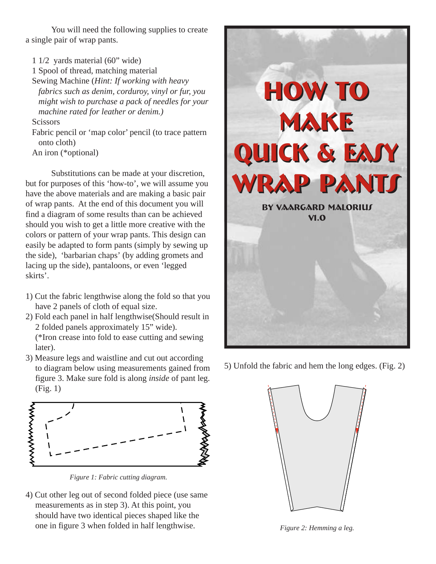You will need the following supplies to create a single pair of wrap pants.

1 1/2 yards material (60" wide) 1 Spool of thread, matching material Sewing Machine (*Hint: If working with heavy fabrics such as denim, corduroy, vinyl or fur, you might wish to purchase a pack of needles for your machine rated for leather or denim.)*

#### **Scissors**

Fabric pencil or 'map color' pencil (to trace pattern onto cloth) An iron (\*optional)

Substitutions can be made at your discretion, but for purposes of this 'how-to', we will assume you have the above materials and are making a basic pair of wrap pants. At the end of this document you will find a diagram of some results than can be achieved should you wish to get a little more creative with the colors or pattern of your wrap pants. This design can easily be adapted to form pants (simply by sewing up the side), 'barbarian chaps' (by adding gromets and lacing up the side), pantaloons, or even 'legged skirts'.

- 1) Cut the fabric lengthwise along the fold so that you have 2 panels of cloth of equal size.
- 2) Fold each panel in half lengthwise(Should result in 2 folded panels approximately 15" wide). (\*Iron crease into fold to ease cutting and sewing later).
- 3) Measure legs and waistline and cut out according to diagram below using measurements gained from figure 3. Make sure fold is along *inside* of pant leg. (Fig. 1)



*Figure 1: Fabric cutting diagram.*

4) Cut other leg out of second folded piece (use same measurements as in step 3). At this point, you should have two identical pieces shaped like the one in figure 3 when folded in half lengthwise.



5) Unfold the fabric and hem the long edges. (Fig. 2)



*Figure 2: Hemming a leg.*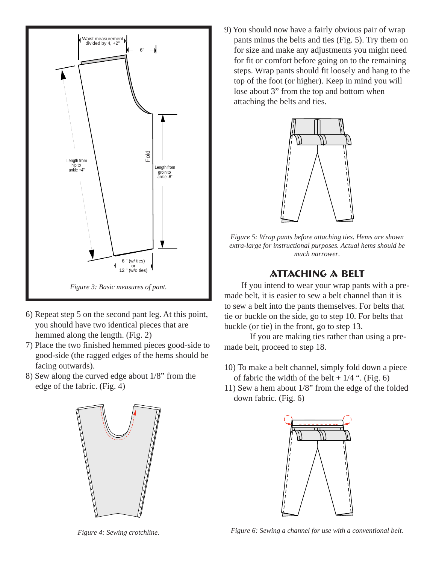

- 6) Repeat step 5 on the second pant leg. At this point, you should have two identical pieces that are hemmed along the length. (Fig. 2)
- 7) Place the two finished hemmed pieces good-side to good-side (the ragged edges of the hems should be facing outwards).
- 8) Sew along the curved edge about 1/8" from the edge of the fabric. (Fig. 4)



9) You should now have a fairly obvious pair of wrap pants minus the belts and ties (Fig. 5). Try them on for size and make any adjustments you might need for fit or comfort before going on to the remaining steps. Wrap pants should fit loosely and hang to the top of the foot (or higher). Keep in mind you will lose about 3" from the top and bottom when attaching the belts and ties.



*Figure 5: Wrap pants before attaching ties. Hems are shown extra-large for instructional purposes. Actual hems should be much narrower.*

#### **Attaching a belt**

If you intend to wear your wrap pants with a premade belt, it is easier to sew a belt channel than it is to sew a belt into the pants themselves. For belts that tie or buckle on the side, go to step 10. For belts that buckle (or tie) in the front, go to step 13.

If you are making ties rather than using a premade belt, proceed to step 18.

- 10) To make a belt channel, simply fold down a piece of fabric the width of the belt  $+1/4$  ". (Fig. 6)
- 11) Sew a hem about 1/8" from the edge of the folded down fabric. (Fig. 6)



*Figure 4: Sewing crotchline.*

*Figure 6: Sewing a channel for use with a conventional belt.*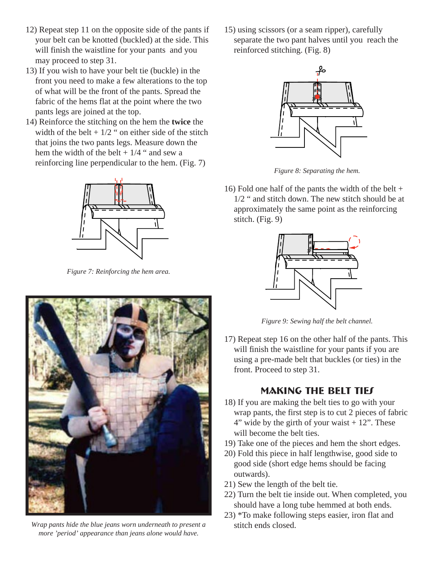- 12) Repeat step 11 on the opposite side of the pants if your belt can be knotted (buckled) at the side. This will finish the waistline for your pants and you may proceed to step 31.
- 13) If you wish to have your belt tie (buckle) in the front you need to make a few alterations to the top of what will be the front of the pants. Spread the fabric of the hems flat at the point where the two pants legs are joined at the top.
- 14) Reinforce the stitching on the hem the **twice** the width of the belt  $+1/2$  " on either side of the stitch that joins the two pants legs. Measure down the hem the width of the belt  $+1/4$  " and sew a reinforcing line perpendicular to the hem. (Fig. 7)



*Figure 7: Reinforcing the hem area.*



*Wrap pants hide the blue jeans worn underneath to present a more 'period' appearance than jeans alone would have.*

15) using scissors (or a seam ripper), carefully separate the two pant halves until you reach the reinforced stitching. (Fig. 8)



*Figure 8: Separating the hem.*

16) Fold one half of the pants the width of the belt + 1/2 " and stitch down. The new stitch should be at approximately the same point as the reinforcing stitch. (Fig. 9)



*Figure 9: Sewing half the belt channel.*

17) Repeat step 16 on the other half of the pants. This will finish the waistline for your pants if you are using a pre-made belt that buckles (or ties) in the front. Proceed to step 31.

# **MAKING THE BELT TIES**

- 18) If you are making the belt ties to go with your wrap pants, the first step is to cut 2 pieces of fabric  $4"$  wide by the girth of your waist  $+12"$ . These will become the belt ties.
- 19) Take one of the pieces and hem the short edges.
- 20) Fold this piece in half lengthwise, good side to good side (short edge hems should be facing outwards).
- 21) Sew the length of the belt tie.
- 22) Turn the belt tie inside out. When completed, you should have a long tube hemmed at both ends.
- 23) \*To make following steps easier, iron flat and stitch ends closed.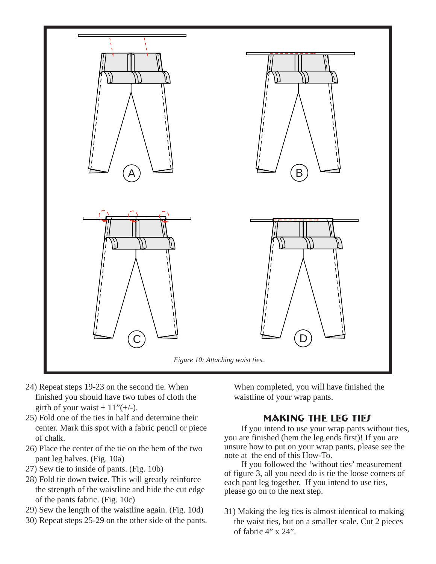

- 24) Repeat steps 19-23 on the second tie. When finished you should have two tubes of cloth the girth of your waist  $+11"(+/-)$ .
- 25) Fold one of the ties in half and determine their center. Mark this spot with a fabric pencil or piece of chalk.
- 26) Place the center of the tie on the hem of the two pant leg halves. (Fig. 10a)
- 27) Sew tie to inside of pants. (Fig. 10b)
- 28) Fold tie down **twice**. This will greatly reinforce the strength of the waistline and hide the cut edge of the pants fabric. (Fig. 10c)
- 29) Sew the length of the waistline again. (Fig. 10d)
- 30) Repeat steps 25-29 on the other side of the pants.

When completed, you will have finished the waistline of your wrap pants.

# **Making the leg ties**

If you intend to use your wrap pants without ties, you are finished (hem the leg ends first)! If you are unsure how to put on your wrap pants, please see the note at the end of this How-To.

If you followed the 'without ties' measurement of figure 3, all you need do is tie the loose corners of each pant leg together. If you intend to use ties, please go on to the next step.

31) Making the leg ties is almost identical to making the waist ties, but on a smaller scale. Cut 2 pieces of fabric 4" x 24".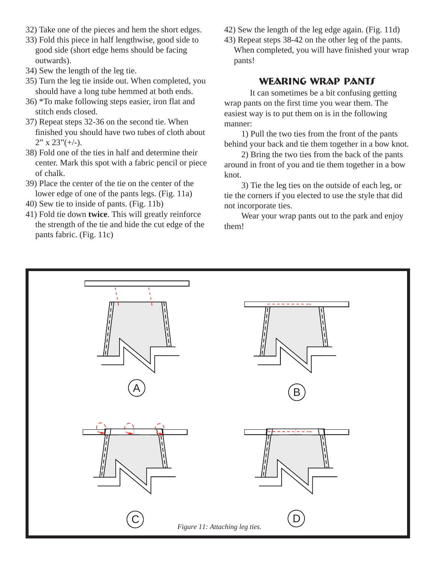- 32) Take one of the pieces and hem the short edges.
- 33) Fold this piece in half lengthwise, good side to good side (short edge hems should be facing outwards).
- 34) Sew the length of the leg tie.
- 35) Turn the leg tie inside out. When completed, you should have a long tube hemmed at both ends.
- 36) \*To make following steps easier, iron flat and stitch ends closed.
- 37) Repeat steps 32-36 on the second tie. When finished you should have two tubes of cloth about  $2"$  x  $23"(+/-)$ .
- 38) Fold one of the ties in half and determine their center. Mark this spot with a fabric pencil or piece of chalk.
- 39) Place the center of the tie on the center of the lower edge of one of the pants legs. (Fig. 11a)
- 40) Sew tie to inside of pants. (Fig. 11b)
- 41) Fold tie down **twice**. This will greatly reinforce the strength of the tie and hide the cut edge of the pants fabric. (Fig. 11c)
- 42) Sew the length of the leg edge again. (Fig. 11d)
- 43) Repeat steps 38-42 on the other leg of the pants. When completed, you will have finished your wrap pants!

### **Wearing wrap pants**

It can sometimes be a bit confusing getting wrap pants on the first time you wear them. The easiest way is to put them on is in the following manner:

1) Pull the two ties from the front of the pants behind your back and tie them together in a bow knot.

2) Bring the two ties from the back of the pants around in front of you and tie them together in a bow knot.

3) Tie the leg ties on the outside of each leg, or tie the corners if you elected to use the style that did not incorporate ties.

Wear your wrap pants out to the park and enjoy them!